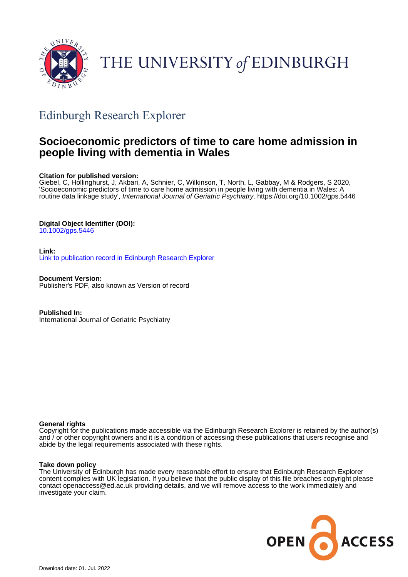

# THE UNIVERSITY of EDINBURGH

## Edinburgh Research Explorer

### **Socioeconomic predictors of time to care home admission in people living with dementia in Wales**

#### **Citation for published version:**

Giebel, C, Hollinghurst, J, Akbari, A, Schnier, C, Wilkinson, T, North, L, Gabbay, M & Rodgers, S 2020, 'Socioeconomic predictors of time to care home admission in people living with dementia in Wales: A routine data linkage study', International Journal of Geriatric Psychiatry.<https://doi.org/10.1002/gps.5446>

#### **Digital Object Identifier (DOI):**

[10.1002/gps.5446](https://doi.org/10.1002/gps.5446)

#### **Link:**

[Link to publication record in Edinburgh Research Explorer](https://www.research.ed.ac.uk/en/publications/20bab820-ed8c-4c8a-91e1-70963397b5fc)

**Document Version:** Publisher's PDF, also known as Version of record

**Published In:** International Journal of Geriatric Psychiatry

#### **General rights**

Copyright for the publications made accessible via the Edinburgh Research Explorer is retained by the author(s) and / or other copyright owners and it is a condition of accessing these publications that users recognise and abide by the legal requirements associated with these rights.

#### **Take down policy**

The University of Edinburgh has made every reasonable effort to ensure that Edinburgh Research Explorer content complies with UK legislation. If you believe that the public display of this file breaches copyright please contact openaccess@ed.ac.uk providing details, and we will remove access to the work immediately and investigate your claim.